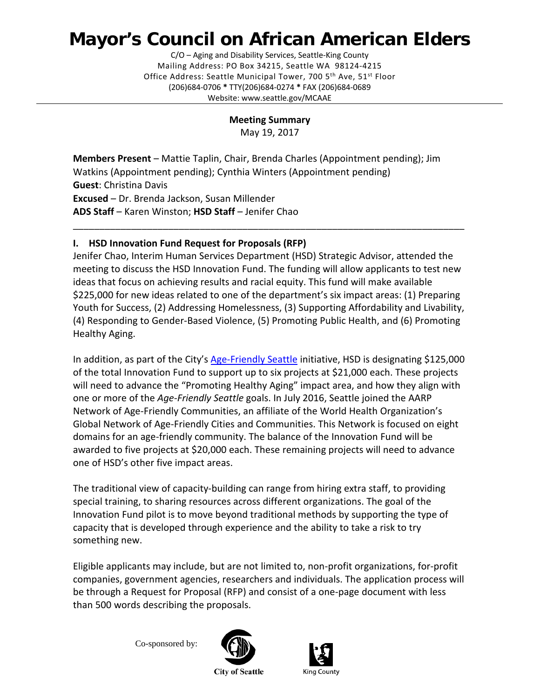# **Mayor's Council on African American Elders**

C/O – Aging and Disability Services, Seattle-King County Mailing Address: PO Box 34215, Seattle WA 98124-4215 Office Address: Seattle Municipal Tower, 700 5<sup>th</sup> Ave, 51<sup>st</sup> Floor (206)684-0706 **\*** TTY(206)684-0274 **\*** FAX (206)684-0689 Website: www.seattle.gov/MCAAE

**Meeting Summary**

May 19, 2017

**Members Present** – Mattie Taplin, Chair, Brenda Charles (Appointment pending); Jim Watkins (Appointment pending); Cynthia Winters (Appointment pending) **Guest**: Christina Davis **Excused** – Dr. Brenda Jackson, Susan Millender **ADS Staff** – Karen Winston; **HSD Staff** – Jenifer Chao

## **I. HSD Innovation Fund Request for Proposals (RFP)**

Jenifer Chao, Interim Human Services Department (HSD) Strategic Advisor, attended the meeting to discuss the HSD Innovation Fund. The funding will allow applicants to test new ideas that focus on achieving results and racial equity. This fund will make available \$225,000 for new ideas related to one of the department's six impact areas: (1) Preparing Youth for Success, (2) Addressing Homelessness, (3) Supporting Affordability and Livability, (4) Responding to Gender-Based Violence, (5) Promoting Public Health, and (6) Promoting Healthy Aging.

\_\_\_\_\_\_\_\_\_\_\_\_\_\_\_\_\_\_\_\_\_\_\_\_\_\_\_\_\_\_\_\_\_\_\_\_\_\_\_\_\_\_\_\_\_\_\_\_\_\_\_\_\_\_\_\_\_\_\_\_\_\_\_\_\_\_\_\_\_\_\_\_\_\_

In addition, as part of the City's [Age-Friendly Seattle](http://www.seattle.gov/humanservices/about-us/initiatives/promoting-healthy-aging) initiative, HSD is designating \$125,000 of the total Innovation Fund to support up to six projects at \$21,000 each. These projects will need to advance the "Promoting Healthy Aging" impact area, and how they align with one or more of the *Age-Friendly Seattle* goals. In July 2016, Seattle joined the AARP Network of Age-Friendly Communities, an affiliate of the World Health Organization's Global Network of Age-Friendly Cities and Communities. This Network is focused on eight domains for an age-friendly community. The balance of the Innovation Fund will be awarded to five projects at \$20,000 each. These remaining projects will need to advance one of HSD's other five impact areas.

The traditional view of capacity-building can range from hiring extra staff, to providing special training, to sharing resources across different organizations. The goal of the Innovation Fund pilot is to move beyond traditional methods by supporting the type of capacity that is developed through experience and the ability to take a risk to try something new.

Eligible applicants may include, but are not limited to, non-profit organizations, for-profit companies, government agencies, researchers and individuals. The application process will be through a Request for Proposal (RFP) and consist of a one-page document with less than 500 words describing the proposals.

Co-sponsored by:





**City of Seattle**